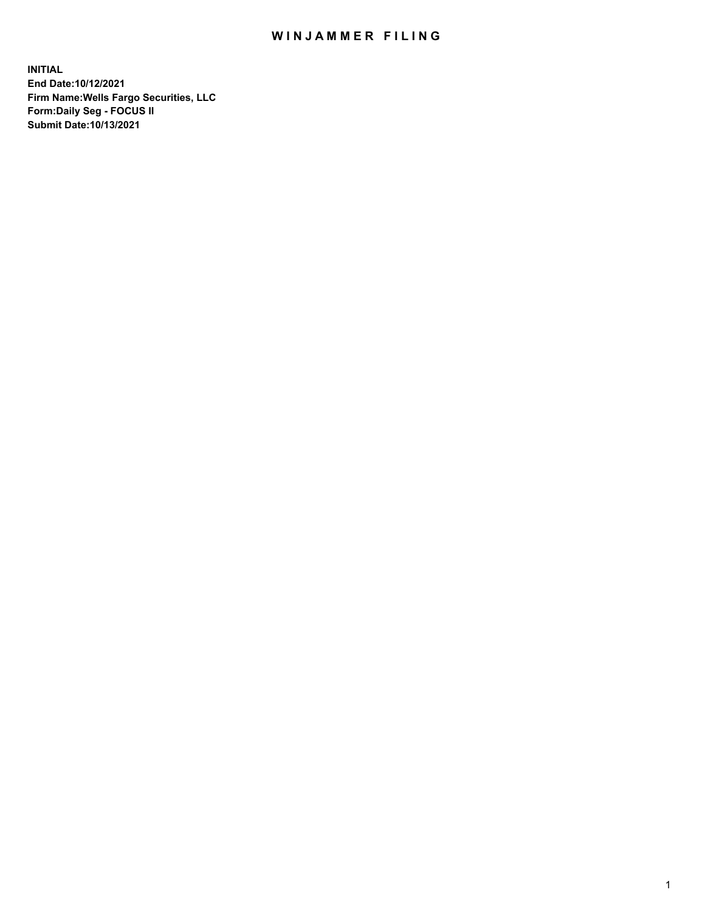## WIN JAMMER FILING

**INITIAL End Date:10/12/2021 Firm Name:Wells Fargo Securities, LLC Form:Daily Seg - FOCUS II Submit Date:10/13/2021**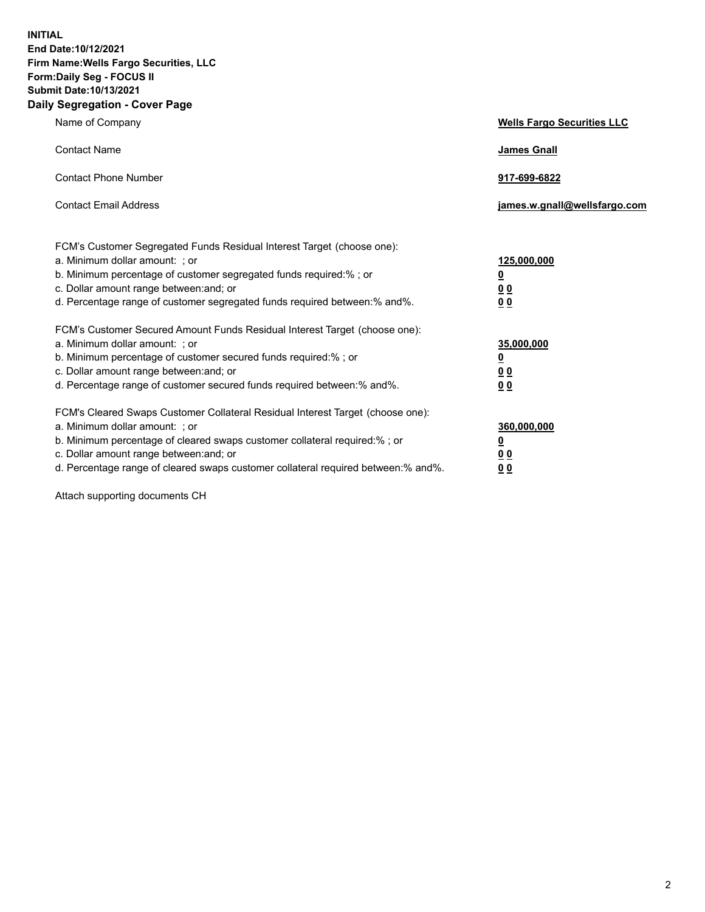**INITIAL End Date:10/12/2021 Firm Name:Wells Fargo Securities, LLC Form:Daily Seg - FOCUS II Submit Date:10/13/2021 Daily Segregation - Cover Page**

| Name of Company                                                                                                                                                                                                                                                                                                                | <b>Wells Fargo Securities LLC</b>                          |
|--------------------------------------------------------------------------------------------------------------------------------------------------------------------------------------------------------------------------------------------------------------------------------------------------------------------------------|------------------------------------------------------------|
| <b>Contact Name</b>                                                                                                                                                                                                                                                                                                            | <b>James Gnall</b>                                         |
| <b>Contact Phone Number</b>                                                                                                                                                                                                                                                                                                    | 917-699-6822                                               |
| <b>Contact Email Address</b>                                                                                                                                                                                                                                                                                                   | james.w.gnall@wellsfargo.com                               |
| FCM's Customer Segregated Funds Residual Interest Target (choose one):<br>a. Minimum dollar amount: ; or<br>b. Minimum percentage of customer segregated funds required:% ; or<br>c. Dollar amount range between: and; or<br>d. Percentage range of customer segregated funds required between: % and %.                       | 125,000,000<br><u>0</u><br><u>00</u><br>0 <sub>0</sub>     |
| FCM's Customer Secured Amount Funds Residual Interest Target (choose one):<br>a. Minimum dollar amount: ; or<br>b. Minimum percentage of customer secured funds required:% ; or<br>c. Dollar amount range between: and; or<br>d. Percentage range of customer secured funds required between: % and %.                         | 35,000,000<br><u>0</u><br>0 <sub>0</sub><br>0 <sub>0</sub> |
| FCM's Cleared Swaps Customer Collateral Residual Interest Target (choose one):<br>a. Minimum dollar amount: ; or<br>b. Minimum percentage of cleared swaps customer collateral required:% ; or<br>c. Dollar amount range between: and; or<br>d. Percentage range of cleared swaps customer collateral required between:% and%. | 360,000,000<br><u>0</u><br>00<br><u>00</u>                 |

Attach supporting documents CH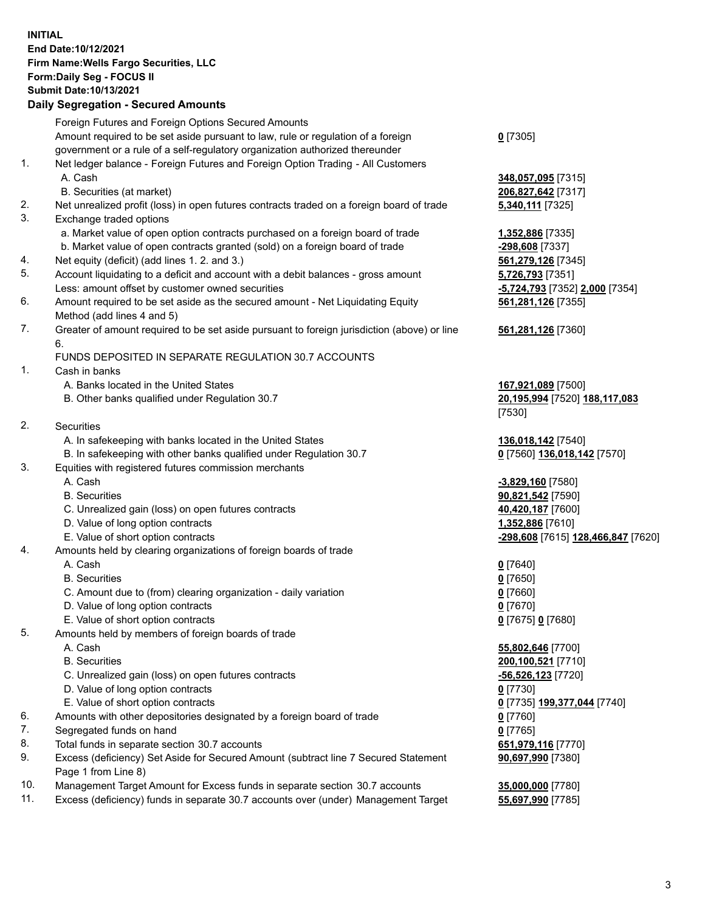**INITIAL End Date:10/12/2021 Firm Name:Wells Fargo Securities, LLC Form:Daily Seg - FOCUS II Submit Date:10/13/2021**

## **Daily Segregation - Secured Amounts**

|     | Foreign Futures and Foreign Options Secured Amounts                                         |                                    |
|-----|---------------------------------------------------------------------------------------------|------------------------------------|
|     | Amount required to be set aside pursuant to law, rule or regulation of a foreign            | $0$ [7305]                         |
|     | government or a rule of a self-regulatory organization authorized thereunder                |                                    |
| 1.  | Net ledger balance - Foreign Futures and Foreign Option Trading - All Customers             |                                    |
|     | A. Cash                                                                                     | 348,057,095 [7315]                 |
|     | B. Securities (at market)                                                                   | 206,827,642 [7317]                 |
| 2.  | Net unrealized profit (loss) in open futures contracts traded on a foreign board of trade   | 5,340,111 [7325]                   |
| 3.  | Exchange traded options                                                                     |                                    |
|     | a. Market value of open option contracts purchased on a foreign board of trade              | 1,352,886 [7335]                   |
|     | b. Market value of open contracts granted (sold) on a foreign board of trade                | -298,608 [7337]                    |
| 4.  | Net equity (deficit) (add lines 1. 2. and 3.)                                               | 561,279,126 [7345]                 |
| 5.  | Account liquidating to a deficit and account with a debit balances - gross amount           | 5,726,793 [7351]                   |
|     | Less: amount offset by customer owned securities                                            | -5,724,793 [7352] 2,000 [7354]     |
| 6.  | Amount required to be set aside as the secured amount - Net Liquidating Equity              | 561,281,126 [7355]                 |
|     | Method (add lines 4 and 5)                                                                  |                                    |
| 7.  | Greater of amount required to be set aside pursuant to foreign jurisdiction (above) or line | 561,281,126 [7360]                 |
|     | 6.                                                                                          |                                    |
|     | FUNDS DEPOSITED IN SEPARATE REGULATION 30.7 ACCOUNTS                                        |                                    |
| 1.  | Cash in banks                                                                               |                                    |
|     | A. Banks located in the United States                                                       | 167,921,089 [7500]                 |
|     | B. Other banks qualified under Regulation 30.7                                              | 20,195,994 [7520] 188,117,083      |
|     |                                                                                             | [7530]                             |
| 2.  | <b>Securities</b>                                                                           |                                    |
|     | A. In safekeeping with banks located in the United States                                   | 136,018,142 [7540]                 |
|     | B. In safekeeping with other banks qualified under Regulation 30.7                          | 0 [7560] 136,018,142 [7570]        |
| 3.  | Equities with registered futures commission merchants                                       |                                    |
|     | A. Cash                                                                                     | -3,829,160 [7580]                  |
|     | <b>B.</b> Securities                                                                        | 90,821,542 [7590]                  |
|     | C. Unrealized gain (loss) on open futures contracts                                         | 40,420,187 [7600]                  |
|     | D. Value of long option contracts                                                           | 1,352,886 [7610]                   |
|     | E. Value of short option contracts                                                          | -298,608 [7615] 128,466,847 [7620] |
| 4.  | Amounts held by clearing organizations of foreign boards of trade                           |                                    |
|     | A. Cash                                                                                     | $0$ [7640]                         |
|     | <b>B.</b> Securities                                                                        | $0$ [7650]                         |
|     | C. Amount due to (from) clearing organization - daily variation                             | $0$ [7660]                         |
|     | D. Value of long option contracts                                                           | $0$ [7670]                         |
|     | E. Value of short option contracts                                                          | 0 [7675] 0 [7680]                  |
| 5.  | Amounts held by members of foreign boards of trade                                          |                                    |
|     | A. Cash                                                                                     | 55,802,646 [7700]                  |
|     | <b>B.</b> Securities                                                                        | 200,100,521 [7710]                 |
|     | C. Unrealized gain (loss) on open futures contracts                                         | <u>-56,526,123</u> [7720]          |
|     | D. Value of long option contracts                                                           | $0$ [7730]                         |
|     | E. Value of short option contracts                                                          | 0 [7735] 199,377,044 [7740]        |
| 6.  | Amounts with other depositories designated by a foreign board of trade                      | 0 [7760]                           |
| 7.  | Segregated funds on hand                                                                    | $0$ [7765]                         |
| 8.  | Total funds in separate section 30.7 accounts                                               | 651,979,116 [7770]                 |
| 9.  | Excess (deficiency) Set Aside for Secured Amount (subtract line 7 Secured Statement         | 90,697,990 [7380]                  |
|     | Page 1 from Line 8)                                                                         |                                    |
| 10. | Management Target Amount for Excess funds in separate section 30.7 accounts                 | 35,000,000 [7780]                  |

11. Excess (deficiency) funds in separate 30.7 accounts over (under) Management Target **55,697,990** [7785]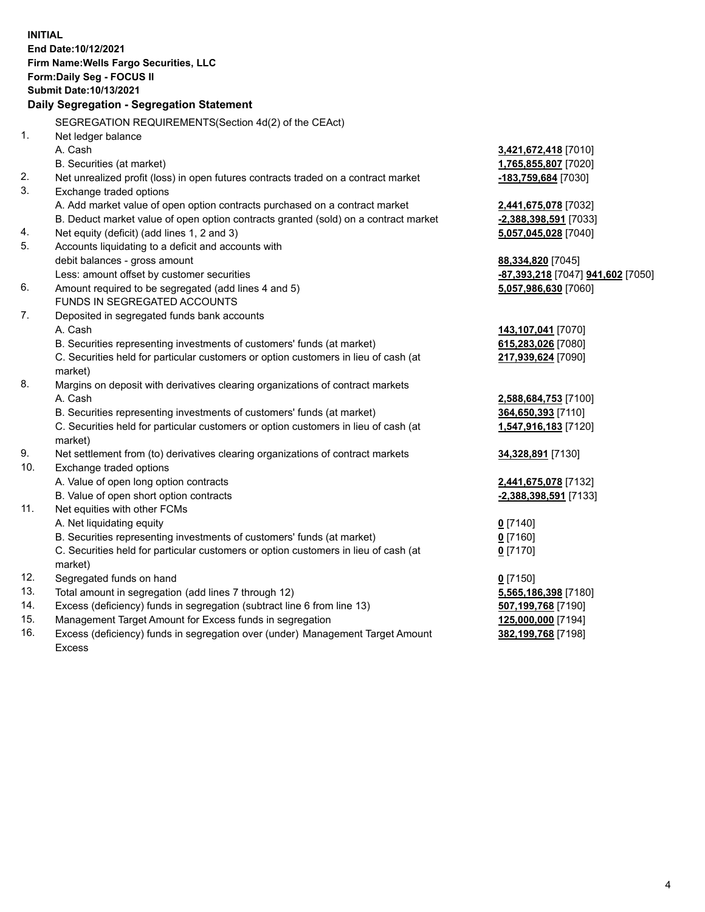**INITIAL End Date:10/12/2021 Firm Name:Wells Fargo Securities, LLC Form:Daily Seg - FOCUS II Submit Date:10/13/2021 Daily Segregation - Segregation Statement** SEGREGATION REQUIREMENTS(Section 4d(2) of the CEAct) 1. Net ledger balance A. Cash **3,421,672,418** [7010] B. Securities (at market) **1,765,855,807** [7020] 2. Net unrealized profit (loss) in open futures contracts traded on a contract market **-183,759,684** [7030] 3. Exchange traded options A. Add market value of open option contracts purchased on a contract market **2,441,675,078** [7032] B. Deduct market value of open option contracts granted (sold) on a contract market **-2,388,398,591** [7033] 4. Net equity (deficit) (add lines 1, 2 and 3) **5,057,045,028** [7040] 5. Accounts liquidating to a deficit and accounts with debit balances - gross amount **88,334,820** [7045] Less: amount offset by customer securities **-87,393,218** [7047] **941,602** [7050] 6. Amount required to be segregated (add lines 4 and 5) **5,057,986,630** [7060] FUNDS IN SEGREGATED ACCOUNTS 7. Deposited in segregated funds bank accounts A. Cash **143,107,041** [7070] B. Securities representing investments of customers' funds (at market) **615,283,026** [7080] C. Securities held for particular customers or option customers in lieu of cash (at market) **217,939,624** [7090] 8. Margins on deposit with derivatives clearing organizations of contract markets A. Cash **2,588,684,753** [7100] B. Securities representing investments of customers' funds (at market) **364,650,393** [7110] C. Securities held for particular customers or option customers in lieu of cash (at market) **1,547,916,183** [7120] 9. Net settlement from (to) derivatives clearing organizations of contract markets **34,328,891** [7130] 10. Exchange traded options A. Value of open long option contracts **2,441,675,078** [7132] B. Value of open short option contracts **-2,388,398,591** [7133] 11. Net equities with other FCMs A. Net liquidating equity **0** [7140] B. Securities representing investments of customers' funds (at market) **0** [7160] C. Securities held for particular customers or option customers in lieu of cash (at market) **0** [7170] 12. Segregated funds on hand **0** [7150] 13. Total amount in segregation (add lines 7 through 12) **5,565,186,398** [7180] 14. Excess (deficiency) funds in segregation (subtract line 6 from line 13) **507,199,768** [7190]

- 15. Management Target Amount for Excess funds in segregation **125,000,000** [7194]
- 16. Excess (deficiency) funds in segregation over (under) Management Target Amount Excess

**382,199,768** [7198]